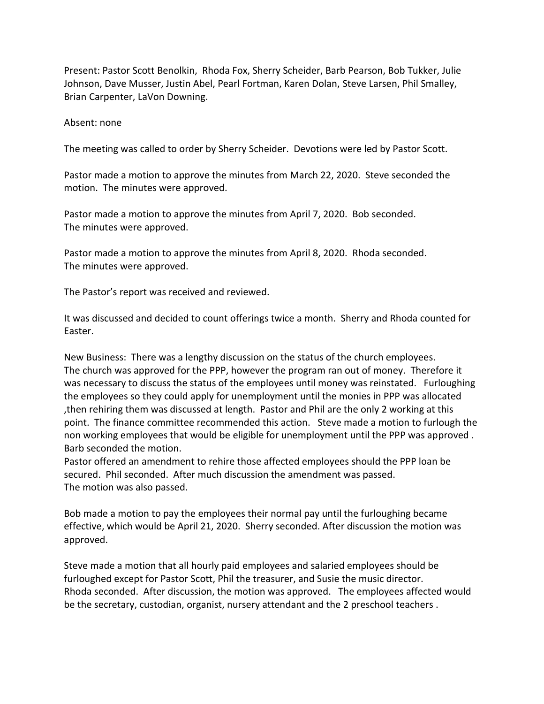Present: Pastor Scott Benolkin, Rhoda Fox, Sherry Scheider, Barb Pearson, Bob Tukker, Julie Johnson, Dave Musser, Justin Abel, Pearl Fortman, Karen Dolan, Steve Larsen, Phil Smalley, Brian Carpenter, LaVon Downing.

## Absent: none

The meeting was called to order by Sherry Scheider. Devotions were led by Pastor Scott.

Pastor made a motion to approve the minutes from March 22, 2020. Steve seconded the motion. The minutes were approved.

Pastor made a motion to approve the minutes from April 7, 2020. Bob seconded. The minutes were approved.

Pastor made a motion to approve the minutes from April 8, 2020. Rhoda seconded. The minutes were approved.

The Pastor's report was received and reviewed.

It was discussed and decided to count offerings twice a month. Sherry and Rhoda counted for Easter.

New Business: There was a lengthy discussion on the status of the church employees. The church was approved for the PPP, however the program ran out of money. Therefore it was necessary to discuss the status of the employees until money was reinstated. Furloughing the employees so they could apply for unemployment until the monies in PPP was allocated ,then rehiring them was discussed at length. Pastor and Phil are the only 2 working at this point. The finance committee recommended this action. Steve made a motion to furlough the non working employees that would be eligible for unemployment until the PPP was approved . Barb seconded the motion.

Pastor offered an amendment to rehire those affected employees should the PPP loan be secured. Phil seconded. After much discussion the amendment was passed. The motion was also passed.

Bob made a motion to pay the employees their normal pay until the furloughing became effective, which would be April 21, 2020. Sherry seconded. After discussion the motion was approved.

Steve made a motion that all hourly paid employees and salaried employees should be furloughed except for Pastor Scott, Phil the treasurer, and Susie the music director. Rhoda seconded. After discussion, the motion was approved. The employees affected would be the secretary, custodian, organist, nursery attendant and the 2 preschool teachers .